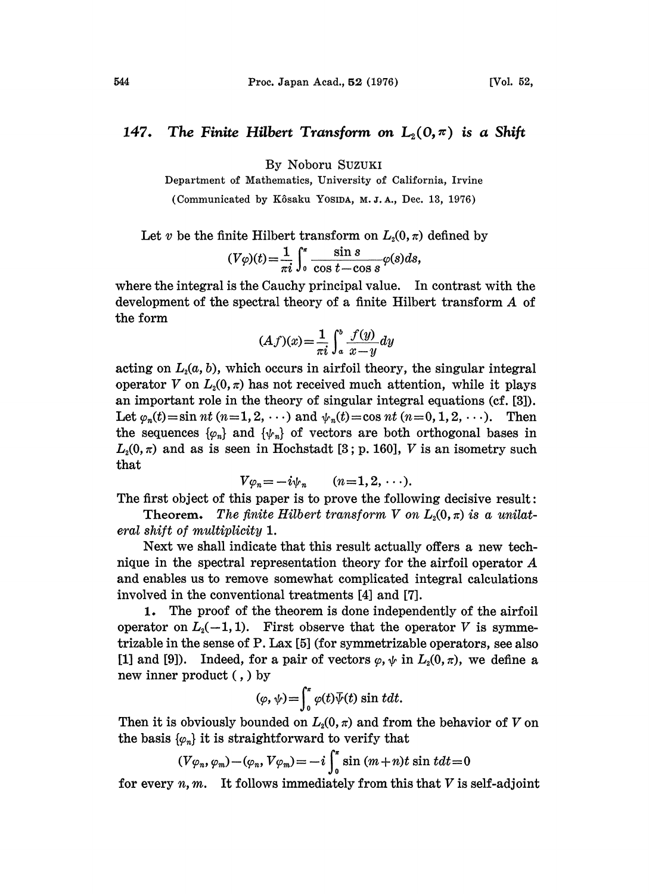## 147. The Finite Hilbert Transform on  $L_2(0,\pi)$  is a Shift

By Noboru SUZUK

Department of Mathematics, University of California, Irvine

(Communicated by Kôsaku YosiDA, M.J.A., Dec. 13, 1976)

Let v be the finite Hilbert transform on  $L_2(0, \pi)$  defined by

$$
(V\varphi)(t) = \frac{1}{\pi i} \int_0^{\pi} \frac{\sin s}{\cos t - \cos s} \varphi(s) ds,
$$

where the integral is the Cauchy principal value. In contrast with the development of the spectral theory of <sup>a</sup> finite Hilbert transform A of the form

$$
(Af)(x) = \frac{1}{\pi i} \int_a^b \frac{f(y)}{x - y} dy
$$

acting on  $L_2(a, b)$ , which occurs in airfoil theory, the singular integral operator V on  $L_2(0, \pi)$  has not received much attention, while it plays an important role in the theory of singular integral equations (cf. [3]). Let  $\varphi_n(t) = \sin nt \ (n=1,2,\cdots)$  and  $\psi_n(t) = \cos nt \ (n=0,1,2,\cdots)$ . Then the sequences  $\{\varphi_n\}$  and  $\{\psi_n\}$  of vectors are both orthogonal bases in  $L_2(0, \pi)$  and as is seen in Hochstadt [3; p. 160], V is an isometry such that

$$
V\varphi_n=-i\psi_n \qquad (n=1,2,\cdots).
$$

The first object of this paper is to prove the following decisive result:

Theorem. The finite Hilbert transform V on  $L_2(0, \pi)$  is a unilateral shift of multiplicity 1.

Next we shall indicate that this result actually offers a new technique in the spectral representation theory for the airfoil operator A and enables us to remove somewhat complicated integral calculations involved in the conventional treatments [4] and [7].

1. The proof of the theorem is done independently of the airfoil operator on  $L_2(-1, 1)$ . First observe that the operator V is symmetrizable in the sense of  $P$ . Lax  $[5]$  (for symmetrizable operators, see also [1] and [9]). Indeed, for a pair of vectors  $\varphi, \psi$  in  $L_2(0, \pi)$ , we define a new inner product (,) by

$$
(\varphi, \psi) = \int_0^{\pi} \varphi(t) \overline{\psi}(t) \sin t dt.
$$

Then it is obviously bounded on  $L_2(0, \pi)$  and from the behavior of V on the basis  $\{\varphi_n\}$  it is straightforward to verify that

$$
(V\varphi_n, \varphi_m) - (\varphi_n, V\varphi_m) = -i \int_0^{\pi} \sin (m+n)t \sin t dt = 0
$$

for every  $n, m$ . It follows immediately from this that  $V$  is self-adjoint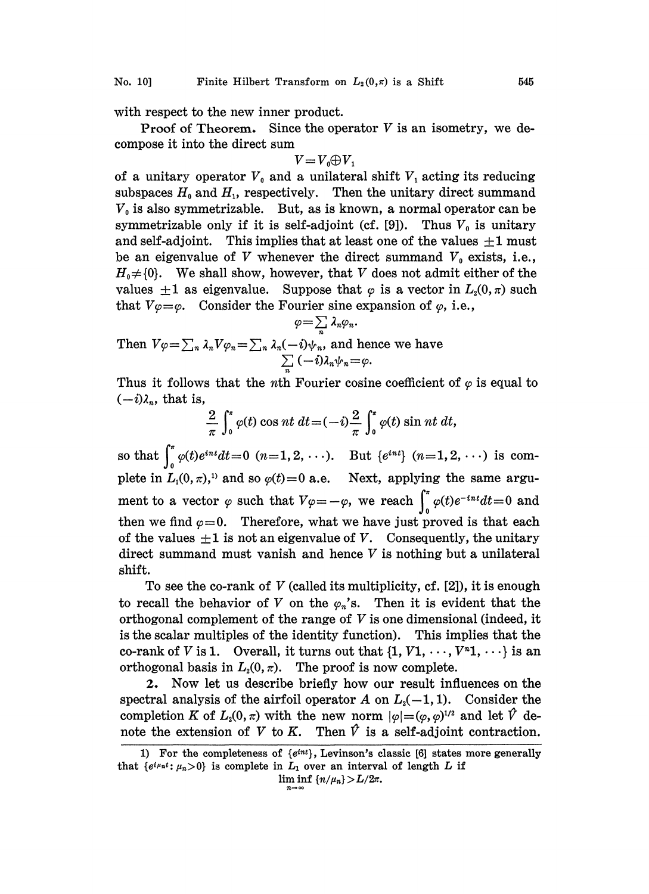with respect to the new inner product.

**Proof of Theorem.** Since the operator  $V$  is an isometry, we decompose it into the direct sum

$$
V\!=\!V_0\!\!\oplus\!V_1
$$

of a unitary operator  $V_0$  and a unilateral shift  $V_1$  acting its reducing subspaces  $H_0$  and  $H_1$ , respectively. Then the unitary direct summand  $V_0$  is also symmetrizable. But, as is known, a normal operator can be symmetrizable only if it is self-adjoint (cf. [9]). Thus  $V_0$  is unitary and self-adjoint. This implies that at least one of the values  $\pm 1$  must be an eigenvalue of V whenever the direct summand  $V_0$  exists, i.e.,  $H_0 \neq \{0\}$ . We shall show, however, that V does not admit either of the values  $\pm 1$  as eigenvalue. Suppose that  $\varphi$  is a vector in  $L_2(0, \pi)$  such that  $V\varphi=\varphi$ . Consider the Fourier sine expansion of  $\varphi$ , i.e.,  $\varphi=\sum \lambda_n \varphi_n$ .

$$
\varphi = \sum_{n} \lambda_{n} \varphi_{n}.
$$
  
Then  $V\varphi = \sum_{n} \lambda_{n} V\varphi_{n} = \sum_{n} \lambda_{n} (-i) \psi_{n}$ , and hence we have  

$$
\sum_{n} (-i) \lambda_{n} \psi_{n} = \varphi.
$$

Thus it follows that the *n*th Fourier cosine coefficient of  $\varphi$  is equal to  $(-i)\lambda_n$ , that is,

$$
\frac{2}{\pi}\int_0^{\pi}\varphi(t)\cos nt\ dt = (-i)\frac{2}{\pi}\int_0^{\pi}\varphi(t)\sin nt\ dt,
$$

so that  $\int_0^{\pi} \varphi(t) e^{int} dt = 0$   $(n=1, 2, \ldots)$ . But  $\{e^{int}\}$   $(n=1, 2, \ldots)$  is complete in  $L_1(0, \pi)$ ,<sup>1</sup> and so  $\varphi(t)=0$  a.e. Next, applying the same argument to a vector  $\varphi$  such that  $V\varphi=-\varphi$ , we reach  $\int_{0}^{\pi} \varphi(t)e^{-int}dt=0$  and then we find  $\varphi=0$ . Therefore, what we have just proved is that each of the values  $\pm 1$  is not an eigenvalue of V. Consequently, the unitary direct summand must vanish and hence  $V$  is nothing but a unilateral shift.

To see the co-rank of  $V$  (called its multiplicity, cf. [2]), it is enough to recall the behavior of V on the  $\varphi_n$ 's. Then it is evident that the orthogonal complement of the range of  $V$  is one dimensional (indeed, it is the scalar multiples of the identity function). This implies that the co-rank of V is 1. Overall, it turns out that  $\{1, V1, \dots, V^{n_1}, \dots\}$  is an orthogonal basis in  $L_2(0, \pi)$ . The proof is now complete.

2. Now let us describe briefly how our result influences on the spectral analysis of the airfoil operator A on  $L_2(-1,1)$ . Consider the completion K of  $L_2(0, \pi)$  with the new norm  $|\varphi| = (\varphi, \varphi)^{1/2}$  and let  $\hat{V}$  denote the extension of V to K. Then  $\hat{V}$  is a self-adjoint contraction.

<sup>1)</sup> For the completeness of  $\{e^{int}\}$ , Levinson's classic [6] states more generally that  $\{e^{i\mu_n t}: \mu_n>0\}$  is complete in  $L_1$  over an interval of length L if

 $\liminf \{n/\mu_n\} > L/2\pi.$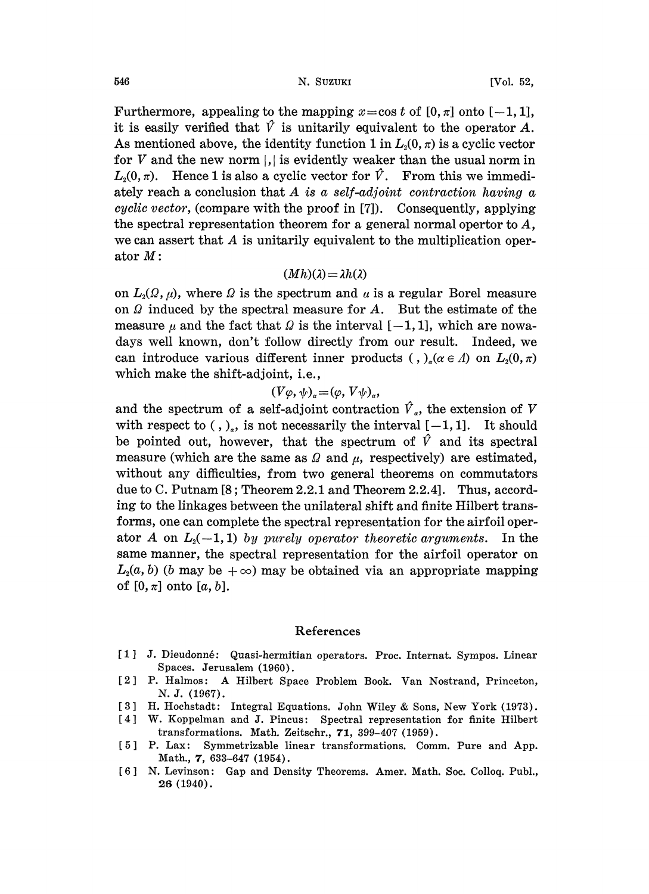Furthermore, appealing to the mapping  $x = \cos t$  of  $[0, \pi]$  onto  $[-1, 1]$ , it is easily verified that  $\hat{V}$  is unitarily equivalent to the operator A. As mentioned above, the identity function 1 in  $L_2(0, \pi)$  is a cyclic vector for  $V$  and the new norm  $\vert \cdot \vert$  is evidently weaker than the usual norm in  $L_2(0, \pi)$ . Hence 1 is also a cyclic vector for  $\hat{V}$ . From this we immediately reach a conclusion that  $A$  is a self-adjoint contraction having a cyclic vector, (compare with the proof in [7]). Consequently, applying the spectral representation theorem for a general normal opertor to A, we can assert that A is unitarily equivalent to the multiplication operator  $M$ :

## $(Mh)(\lambda) = \lambda h(\lambda)$

on  $L_2(\Omega,\mu)$ , where  $\Omega$  is the spectrum and  $\mu$  is a regular Borel measure on  $\Omega$  induced by the spectral measure for  $A$ . But the estimate of the measure  $\mu$  and the fact that  $\Omega$  is the interval  $[-1, 1]$ , which are nowadays well known, don't follow directly from our result. Indeed, we can introduce various different inner products (, )<sub>a</sub>( $\alpha \in \Lambda$ ) on  $L_2(0, \pi)$ which make the shift-adjoint, i.e.,

$$
(V\varphi,\psi)_\alpha = (\varphi, V\psi)_\alpha,
$$

and the spectrum of a self-adjoint contraction  $\hat{V}_a$ , the extension of V with respect to  $($ ,  $)_a$ , is not necessarily the interval  $[-1, 1]$ . It should be pointed out, however, that the spectrum of  $\hat{V}$  and its spectral measure (which are the same as  $\Omega$  and  $\mu$ , respectively) are estimated, without any difficulties, from two general theorems on commutators due to C. Putnam  $[8;$  Theorem 2.2.1 and Theorem 2.2.4]. Thus, according to the linkages between the unilateral shift and finite Hilbert transforms, one can complete the spectral representation for the airfoil operator A on  $L_2(-1, 1)$  by purely operator theoretic arguments. In the same manner, the spectral representation for the airfoil operator on  $L_2(a, b)$  (b may be  $+\infty$ ) may be obtained via an appropriate mapping of  $[0, \pi]$  onto  $[a, b]$ .

## References

- [1] J. Dieudonné: Quasi-hermitian operators. Proc. Internat. Sympos. Linear Spaces. Jerusalem (1960).
- <sup>2</sup> P. Halmos: A Hilbert Space Problem Book. Van Nostrand, Princeton, N. J. (1967).
- 3] H. Hochstadt: Integral Equations. John Wiley & Sons, New York (1973).
- [4] W. Koppelman and J. Pincus: Spectral representation for finite Hilbert transformations. Math. Zeitschr., 71, 399-407 (1959).
- [5] P. Lax: Symmetrizable linear transformations. Comm. Pure and App. Math., 7, 633-647 (1954).
- [6] N. Levinson: Gap and Density Theorems. Amer. Math. Soc. Colloq. Publ., 26 (1940).